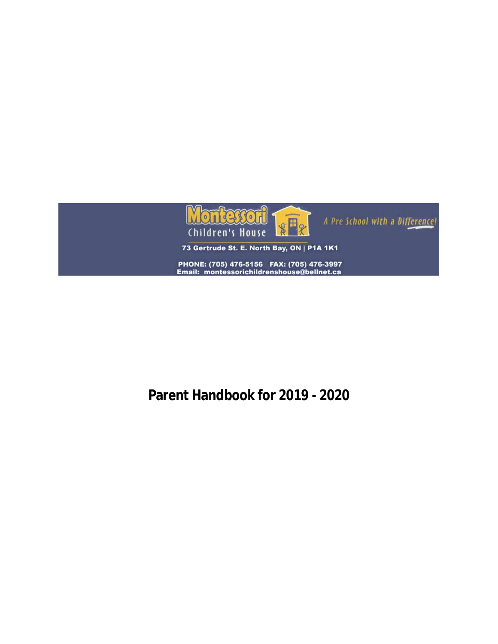

# **Parent Handbook for 2019 - 2020**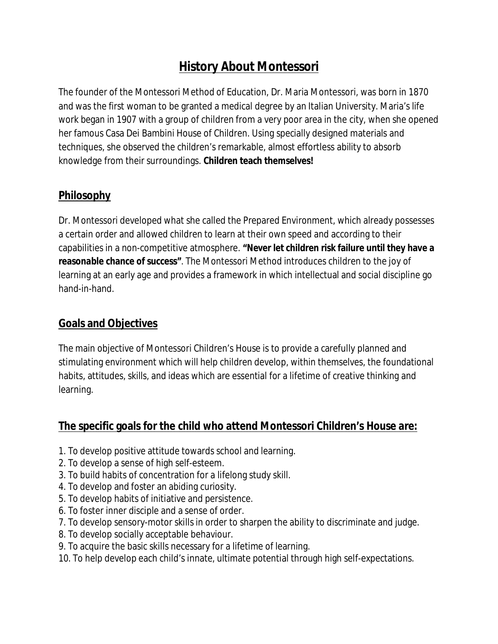# **History About Montessori**

The founder of the Montessori Method of Education, Dr. Maria Montessori, was born in 1870 and was the first woman to be granted a medical degree by an Italian University. Maria's life work began in 1907 with a group of children from a very poor area in the city, when she opened her famous Casa Dei Bambini House of Children. Using specially designed materials and techniques, she observed the children's remarkable, almost effortless ability to absorb knowledge from their surroundings. **Children teach themselves!**

# **Philosophy**

Dr. Montessori developed what she called the Prepared Environment, which already possesses a certain order and allowed children to learn at their own speed and according to their capabilities in a non-competitive atmosphere. **"Never let children risk failure until they have a reasonable chance of success"**. The Montessori Method introduces children to the joy of learning at an early age and provides a framework in which intellectual and social discipline go hand-in-hand.

# **Goals and Objectives**

The main objective of Montessori Children's House is to provide a carefully planned and stimulating environment which will help children develop, within themselves, the foundational habits, attitudes, skills, and ideas which are essential for a lifetime of creative thinking and learning.

# **The specific goals for the child who attend Montessori Children's House are:**

- 1. To develop positive attitude towards school and learning.
- 2. To develop a sense of high self-esteem.
- 3. To build habits of concentration for a lifelong study skill.
- 4. To develop and foster an abiding curiosity.
- 5. To develop habits of initiative and persistence.
- 6. To foster inner disciple and a sense of order.
- 7. To develop sensory-motor skills in order to sharpen the ability to discriminate and judge.
- 8. To develop socially acceptable behaviour.
- 9. To acquire the basic skills necessary for a lifetime of learning.
- 10. To help develop each child's innate, ultimate potential through high self-expectations.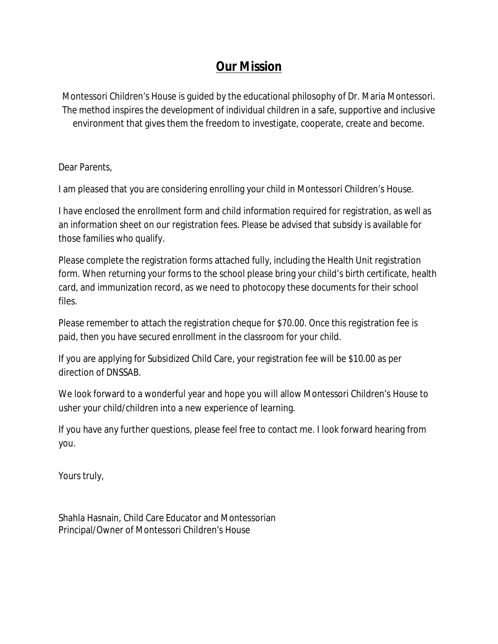# **Our Mission**

Montessori Children's House is guided by the educational philosophy of Dr. Maria Montessori. The method inspires the development of individual children in a safe, supportive and inclusive environment that gives them the freedom to investigate, cooperate, create and become.

Dear Parents,

I am pleased that you are considering enrolling your child in Montessori Children's House.

I have enclosed the enrollment form and child information required for registration, as well as an information sheet on our registration fees. Please be advised that subsidy is available for those families who qualify.

Please complete the registration forms attached fully, including the Health Unit registration form. When returning your forms to the school please bring your child's birth certificate, health card, and immunization record, as we need to photocopy these documents for their school files.

Please remember to attach the registration cheque for \$70.00. Once this registration fee is paid, then you have secured enrollment in the classroom for your child.

If you are applying for Subsidized Child Care, your registration fee will be \$10.00 as per direction of DNSSAB.

We look forward to a wonderful year and hope you will allow Montessori Children's House to usher your child/children into a new experience of learning.

If you have any further questions, please feel free to contact me. I look forward hearing from you.

Yours truly,

Shahla Hasnain, Child Care Educator and Montessorian Principal/Owner of Montessori Children's House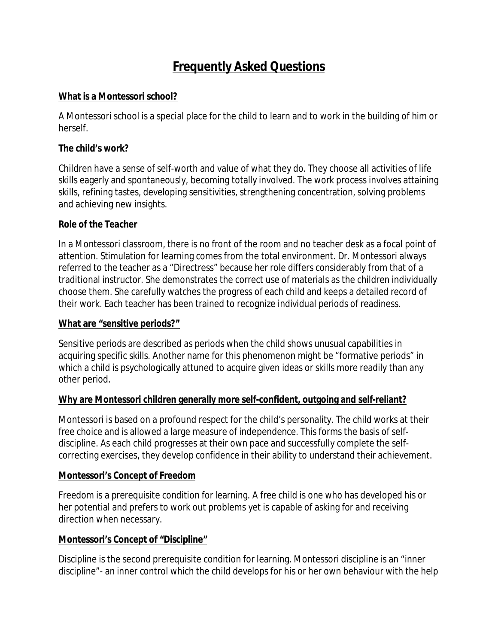# **Frequently Asked Questions**

#### **What is a Montessori school?**

A Montessori school is a special place for the child to learn and to work in the building of him or herself.

#### **The child's work?**

Children have a sense of self-worth and value of what they do. They choose all activities of life skills eagerly and spontaneously, becoming totally involved. The work process involves attaining skills, refining tastes, developing sensitivities, strengthening concentration, solving problems and achieving new insights.

#### **Role of the Teacher**

In a Montessori classroom, there is no front of the room and no teacher desk as a focal point of attention. Stimulation for learning comes from the total environment. Dr. Montessori always referred to the teacher as a "Directress" because her role differs considerably from that of a traditional instructor. She demonstrates the correct use of materials as the children individually choose them. She carefully watches the progress of each child and keeps a detailed record of their work. Each teacher has been trained to recognize individual periods of readiness.

#### **What are "sensitive periods?"**

Sensitive periods are described as periods when the child shows unusual capabilities in acquiring specific skills. Another name for this phenomenon might be "formative periods" in which a child is psychologically attuned to acquire given ideas or skills more readily than any other period.

### **Why are Montessori children generally more self-confident, outgoing and self-reliant?**

Montessori is based on a profound respect for the child's personality. The child works at their free choice and is allowed a large measure of independence. This forms the basis of selfdiscipline. As each child progresses at their own pace and successfully complete the selfcorrecting exercises, they develop confidence in their ability to understand their achievement.

#### **Montessori's Concept of Freedom**

Freedom is a prerequisite condition for learning. A free child is one who has developed his or her potential and prefers to work out problems yet is capable of asking for and receiving direction when necessary.

#### **Montessori's Concept of "Discipline"**

Discipline is the second prerequisite condition for learning. Montessori discipline is an "inner discipline"- an inner control which the child develops for his or her own behaviour with the help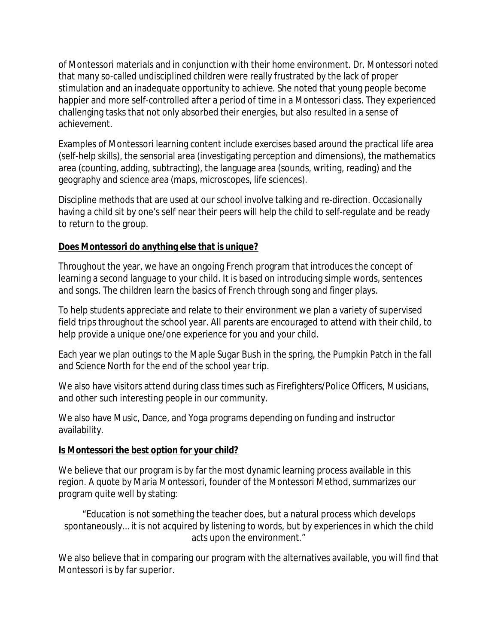of Montessori materials and in conjunction with their home environment. Dr. Montessori noted that many so-called undisciplined children were really frustrated by the lack of proper stimulation and an inadequate opportunity to achieve. She noted that young people become happier and more self-controlled after a period of time in a Montessori class. They experienced challenging tasks that not only absorbed their energies, but also resulted in a sense of achievement.

Examples of Montessori learning content include exercises based around the practical life area (self-help skills), the sensorial area (investigating perception and dimensions), the mathematics area (counting, adding, subtracting), the language area (sounds, writing, reading) and the geography and science area (maps, microscopes, life sciences).

Discipline methods that are used at our school involve talking and re-direction. Occasionally having a child sit by one's self near their peers will help the child to self-regulate and be ready to return to the group.

### **Does Montessori do anything else that is unique?**

Throughout the year, we have an ongoing French program that introduces the concept of learning a second language to your child. It is based on introducing simple words, sentences and songs. The children learn the basics of French through song and finger plays.

To help students appreciate and relate to their environment we plan a variety of supervised field trips throughout the school year. All parents are encouraged to attend with their child, to help provide a unique one/one experience for you and your child.

Each year we plan outings to the Maple Sugar Bush in the spring, the Pumpkin Patch in the fall and Science North for the end of the school year trip.

We also have visitors attend during class times such as Firefighters/Police Officers, Musicians, and other such interesting people in our community.

We also have Music, Dance, and Yoga programs depending on funding and instructor availability.

#### **Is Montessori the best option for your child?**

We believe that our program is by far the most dynamic learning process available in this region. A quote by Maria Montessori, founder of the Montessori Method, summarizes our program quite well by stating:

"Education is not something the teacher does, but a natural process which develops spontaneously… it is not acquired by listening to words, but by experiences in which the child acts upon the environment."

We also believe that in comparing our program with the alternatives available, you will find that Montessori is by far superior.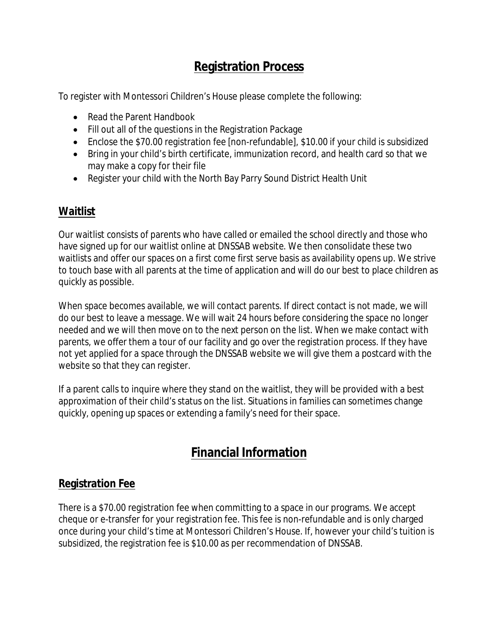# **Registration Process**

To register with Montessori Children's House please complete the following:

- Read the Parent Handbook
- Fill out all of the questions in the Registration Package
- Enclose the \$70.00 registration fee [non-refundable], \$10.00 if your child is subsidized
- Bring in your child's birth certificate, immunization record, and health card so that we may make a copy for their file
- Register your child with the North Bay Parry Sound District Health Unit

# **Waitlist**

Our waitlist consists of parents who have called or emailed the school directly and those who have signed up for our waitlist online at DNSSAB website. We then consolidate these two waitlists and offer our spaces on a first come first serve basis as availability opens up. We strive to touch base with all parents at the time of application and will do our best to place children as quickly as possible.

When space becomes available, we will contact parents. If direct contact is not made, we will do our best to leave a message. We will wait 24 hours before considering the space no longer needed and we will then move on to the next person on the list. When we make contact with parents, we offer them a tour of our facility and go over the registration process. If they have not yet applied for a space through the DNSSAB website we will give them a postcard with the website so that they can register.

If a parent calls to inquire where they stand on the waitlist, they will be provided with a best approximation of their child's status on the list. Situations in families can sometimes change quickly, opening up spaces or extending a family's need for their space.

# **Financial Information**

## **Registration Fee**

There is a \$70.00 registration fee when committing to a space in our programs. We accept cheque or e-transfer for your registration fee. This fee is non-refundable and is only charged once during your child's time at Montessori Children's House. If, however your child's tuition is subsidized, the registration fee is \$10.00 as per recommendation of DNSSAB.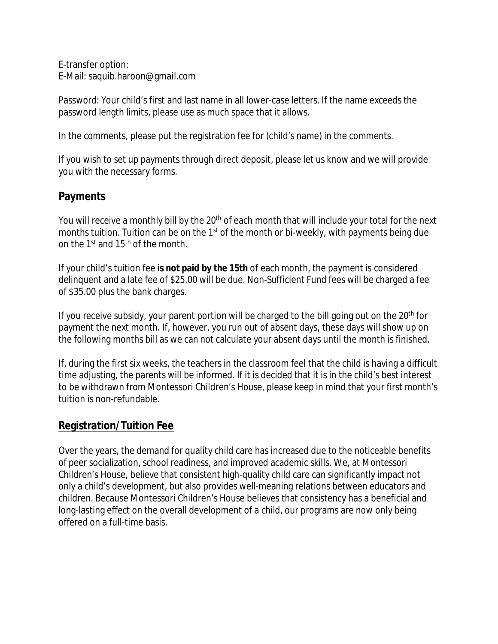E-transfer option: E-Mail: saquib.haroon@gmail.com

Password: Your child's first and last name in all lower-case letters. If the name exceeds the password length limits, please use as much space that it allows.

In the comments, please put the registration fee for (child's name) in the comments.

If you wish to set up payments through direct deposit, please let us know and we will provide you with the necessary forms.

## **Payments**

You will receive a monthly bill by the 20<sup>th</sup> of each month that will include your total for the next months tuition. Tuition can be on the 1<sup>st</sup> of the month or bi-weekly, with payments being due on the 1st and 15th of the month.

If your child's tuition fee **is not paid by the 15th** of each month, the payment is considered delinquent and a late fee of \$25.00 will be due. Non-Sufficient Fund fees will be charged a fee of \$35.00 plus the bank charges.

If you receive subsidy, your parent portion will be charged to the bill going out on the 20<sup>th</sup> for payment the next month. If, however, you run out of absent days, these days will show up on the following months bill as we can not calculate your absent days until the month is finished.

If, during the first six weeks, the teachers in the classroom feel that the child is having a difficult time adjusting, the parents will be informed. If it is decided that it is in the child's best interest to be withdrawn from Montessori Children's House, please keep in mind that your first month's tuition is non-refundable.

# **Registration/Tuition Fee**

Over the years, the demand for quality child care has increased due to the noticeable benefits of peer socialization, school readiness, and improved academic skills. We, at Montessori Children's House, believe that consistent high-quality child care can significantly impact not only a child's development, but also provides well-meaning relations between educators and children. Because Montessori Children's House believes that consistency has a beneficial and long-lasting effect on the overall development of a child, our programs are now only being offered on a full-time basis.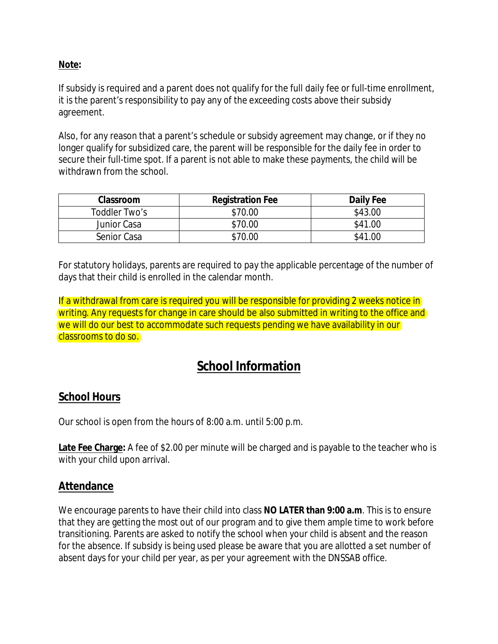### **Note:**

If subsidy is required and a parent does not qualify for the full daily fee or full-time enrollment, it is the parent's responsibility to pay any of the exceeding costs above their subsidy agreement.

Also, for any reason that a parent's schedule or subsidy agreement may change, or if they no longer qualify for subsidized care, the parent will be responsible for the daily fee in order to secure their full-time spot. If a parent is not able to make these payments, the child will be withdrawn from the school.

| Classroom     | <b>Registration Fee</b> | Daily Fee |
|---------------|-------------------------|-----------|
| Toddler Two's | \$70.00                 | \$43.00   |
| Junior Casa   | \$70.00                 | \$41.00   |
| Senior Casa   | \$70.00                 | \$41.00   |

For statutory holidays, parents are required to pay the applicable percentage of the number of days that their child is enrolled in the calendar month.

If a withdrawal from care is required you will be responsible for providing 2 weeks notice in writing. Any requests for change in care should be also submitted in writing to the office and we will do our best to accommodate such requests pending we have availability in our classrooms to do so.

# **School Information**

## **School Hours**

Our school is open from the hours of 8:00 a.m. until 5:00 p.m.

**Late Fee Charge:** A fee of \$2.00 per minute will be charged and is payable to the teacher who is with your child upon arrival.

### **Attendance**

We encourage parents to have their child into class **NO LATER than 9:00 a.m**. This is to ensure that they are getting the most out of our program and to give them ample time to work before transitioning. Parents are asked to notify the school when your child is absent and the reason for the absence. If subsidy is being used please be aware that you are allotted a set number of absent days for your child per year, as per your agreement with the DNSSAB office.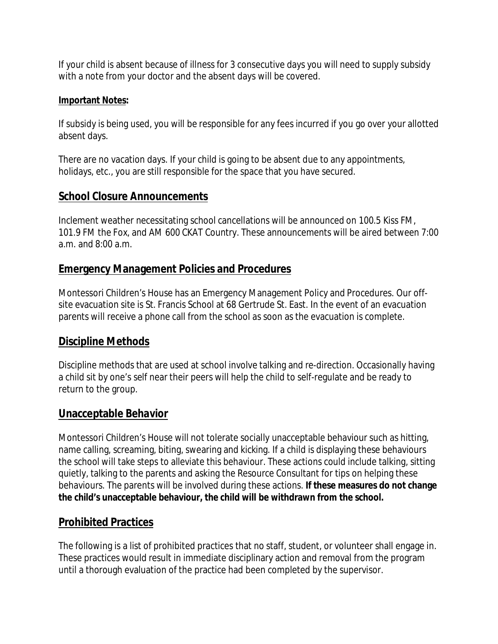If your child is absent because of illness for 3 consecutive days you will need to supply subsidy with a note from your doctor and the absent days will be covered.

### **Important Notes:**

If subsidy is being used, you will be responsible for any fees incurred if you go over your allotted absent days.

There are no vacation days. If your child is going to be absent due to any appointments, holidays, etc., you are still responsible for the space that you have secured.

## **School Closure Announcements**

Inclement weather necessitating school cancellations will be announced on 100.5 Kiss FM, 101.9 FM the Fox, and AM 600 CKAT Country. These announcements will be aired between 7:00 a.m. and 8:00 a.m.

## **Emergency Management Policies and Procedures**

Montessori Children's House has an Emergency Management Policy and Procedures. Our offsite evacuation site is St. Francis School at 68 Gertrude St. East. In the event of an evacuation parents will receive a phone call from the school as soon as the evacuation is complete.

## **Discipline Methods**

Discipline methods that are used at school involve talking and re-direction. Occasionally having a child sit by one's self near their peers will help the child to self-regulate and be ready to return to the group.

## **Unacceptable Behavior**

Montessori Children's House will not tolerate socially unacceptable behaviour such as hitting, name calling, screaming, biting, swearing and kicking. If a child is displaying these behaviours the school will take steps to alleviate this behaviour. These actions could include talking, sitting quietly, talking to the parents and asking the Resource Consultant for tips on helping these behaviours. The parents will be involved during these actions. **If these measures do not change the child's unacceptable behaviour, the child will be withdrawn from the school.**

# **Prohibited Practices**

The following is a list of prohibited practices that no staff, student, or volunteer shall engage in. These practices would result in immediate disciplinary action and removal from the program until a thorough evaluation of the practice had been completed by the supervisor.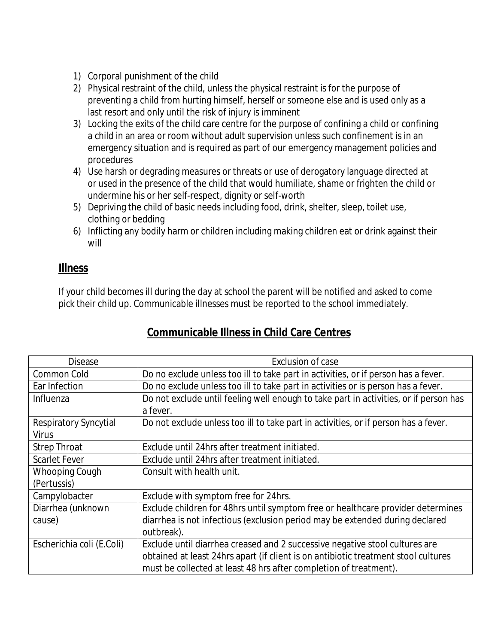- 1) Corporal punishment of the child
- 2) Physical restraint of the child, unless the physical restraint is for the purpose of preventing a child from hurting himself, herself or someone else and is used only as a last resort and only until the risk of injury is imminent
- 3) Locking the exits of the child care centre for the purpose of confining a child or confining a child in an area or room without adult supervision unless such confinement is in an emergency situation and is required as part of our emergency management policies and procedures
- 4) Use harsh or degrading measures or threats or use of derogatory language directed at or used in the presence of the child that would humiliate, shame or frighten the child or undermine his or her self-respect, dignity or self-worth
- 5) Depriving the child of basic needs including food, drink, shelter, sleep, toilet use, clothing or bedding
- 6) Inflicting any bodily harm or children including making children eat or drink against their will

## **Illness**

If your child becomes ill during the day at school the parent will be notified and asked to come pick their child up. Communicable illnesses must be reported to the school immediately.

| <b>Disease</b>            | Exclusion of case                                                                     |  |
|---------------------------|---------------------------------------------------------------------------------------|--|
| Common Cold               | Do no exclude unless too ill to take part in activities, or if person has a fever.    |  |
| Ear Infection             | Do no exclude unless too ill to take part in activities or is person has a fever.     |  |
| Influenza                 | Do not exclude until feeling well enough to take part in activities, or if person has |  |
|                           | a fever.                                                                              |  |
| Respiratory Syncytial     | Do not exclude unless too ill to take part in activities, or if person has a fever.   |  |
| <b>Virus</b>              |                                                                                       |  |
| <b>Strep Throat</b>       | Exclude until 24hrs after treatment initiated.                                        |  |
| <b>Scarlet Fever</b>      | Exclude until 24hrs after treatment initiated.                                        |  |
| <b>Whooping Cough</b>     | Consult with health unit.                                                             |  |
| (Pertussis)               |                                                                                       |  |
| Campylobacter             | Exclude with symptom free for 24hrs.                                                  |  |
| Diarrhea (unknown         | Exclude children for 48hrs until symptom free or healthcare provider determines       |  |
| cause)                    | diarrhea is not infectious (exclusion period may be extended during declared          |  |
|                           | outbreak).                                                                            |  |
| Escherichia coli (E.Coli) | Exclude until diarrhea creased and 2 successive negative stool cultures are           |  |
|                           | obtained at least 24hrs apart (if client is on antibiotic treatment stool cultures    |  |
|                           | must be collected at least 48 hrs after completion of treatment).                     |  |

# **Communicable Illness in Child Care Centres**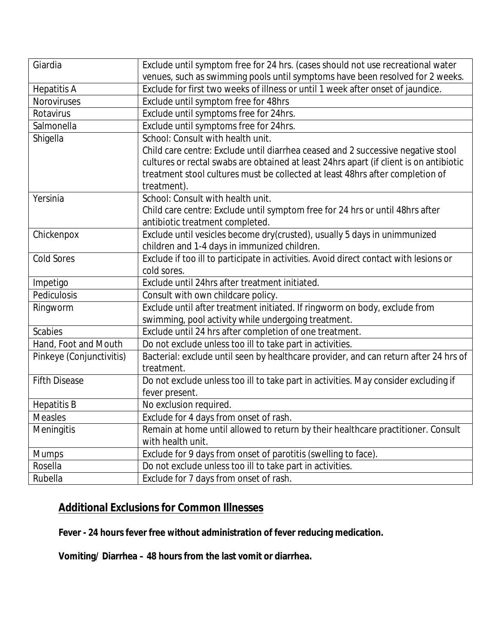| Giardia                  | Exclude until symptom free for 24 hrs. (cases should not use recreational water        |  |
|--------------------------|----------------------------------------------------------------------------------------|--|
|                          | venues, such as swimming pools until symptoms have been resolved for 2 weeks.          |  |
| <b>Hepatitis A</b>       | Exclude for first two weeks of illness or until 1 week after onset of jaundice.        |  |
| Noroviruses              | Exclude until symptom free for 48hrs                                                   |  |
| Rotavirus                | Exclude until symptoms free for 24hrs.                                                 |  |
| Salmonella               | Exclude until symptoms free for 24hrs.                                                 |  |
| Shigella                 | School: Consult with health unit.                                                      |  |
|                          | Child care centre: Exclude until diarrhea ceased and 2 successive negative stool       |  |
|                          | cultures or rectal swabs are obtained at least 24hrs apart (if client is on antibiotic |  |
|                          | treatment stool cultures must be collected at least 48hrs after completion of          |  |
|                          | treatment).                                                                            |  |
| Yersinia                 | School: Consult with health unit.                                                      |  |
|                          | Child care centre: Exclude until symptom free for 24 hrs or until 48hrs after          |  |
|                          | antibiotic treatment completed.                                                        |  |
| Chickenpox               | Exclude until vesicles become dry(crusted), usually 5 days in unimmunized              |  |
|                          | children and 1-4 days in immunized children.                                           |  |
| <b>Cold Sores</b>        | Exclude if too ill to participate in activities. Avoid direct contact with lesions or  |  |
|                          | cold sores.                                                                            |  |
| Impetigo                 | Exclude until 24hrs after treatment initiated.                                         |  |
| Pediculosis              | Consult with own childcare policy.                                                     |  |
| Ringworm                 | Exclude until after treatment initiated. If ringworm on body, exclude from             |  |
|                          | swimming, pool activity while undergoing treatment.                                    |  |
| <b>Scabies</b>           | Exclude until 24 hrs after completion of one treatment.                                |  |
| Hand, Foot and Mouth     | Do not exclude unless too ill to take part in activities.                              |  |
| Pinkeye (Conjunctivitis) | Bacterial: exclude until seen by healthcare provider, and can return after 24 hrs of   |  |
|                          | treatment.                                                                             |  |
| <b>Fifth Disease</b>     | Do not exclude unless too ill to take part in activities. May consider excluding if    |  |
|                          | fever present.                                                                         |  |
| <b>Hepatitis B</b>       | No exclusion required.                                                                 |  |
| <b>Measles</b>           | Exclude for 4 days from onset of rash.                                                 |  |
| Meningitis               | Remain at home until allowed to return by their healthcare practitioner. Consult       |  |
|                          | with health unit.                                                                      |  |
| <b>Mumps</b>             | Exclude for 9 days from onset of parotitis (swelling to face).                         |  |
| Rosella                  | Do not exclude unless too ill to take part in activities.                              |  |
| Rubella                  | Exclude for 7 days from onset of rash.                                                 |  |

# **Additional Exclusions for Common Illnesses**

**Fever - 24 hours fever free without administration of fever reducing medication.**

**Vomiting/ Diarrhea – 48 hours from the last vomit or diarrhea.**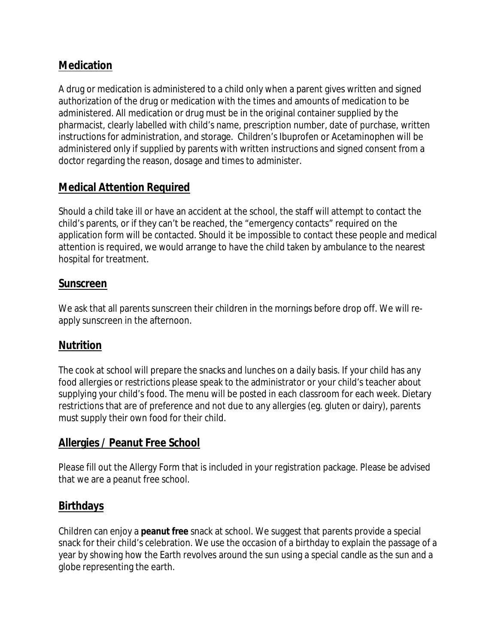# **Medication**

A drug or medication is administered to a child only when a parent gives written and signed authorization of the drug or medication with the times and amounts of medication to be administered. All medication or drug must be in the original container supplied by the pharmacist, clearly labelled with child's name, prescription number, date of purchase, written instructions for administration, and storage. Children's Ibuprofen or Acetaminophen will be administered only if supplied by parents with written instructions and signed consent from a doctor regarding the reason, dosage and times to administer.

# **Medical Attention Required**

Should a child take ill or have an accident at the school, the staff will attempt to contact the child's parents, or if they can't be reached, the "emergency contacts" required on the application form will be contacted. Should it be impossible to contact these people and medical attention is required, we would arrange to have the child taken by ambulance to the nearest hospital for treatment.

## **Sunscreen**

We ask that all parents sunscreen their children in the mornings before drop off. We will reapply sunscreen in the afternoon.

## **Nutrition**

The cook at school will prepare the snacks and lunches on a daily basis. If your child has any food allergies or restrictions please speak to the administrator or your child's teacher about supplying your child's food. The menu will be posted in each classroom for each week. Dietary restrictions that are of preference and not due to any allergies (eg. gluten or dairy), parents must supply their own food for their child.

## **Allergies / Peanut Free School**

Please fill out the Allergy Form that is included in your registration package. Please be advised that we are a peanut free school.

# **Birthdays**

Children can enjoy a **peanut free** snack at school. We suggest that parents provide a special snack for their child's celebration. We use the occasion of a birthday to explain the passage of a year by showing how the Earth revolves around the sun using a special candle as the sun and a globe representing the earth.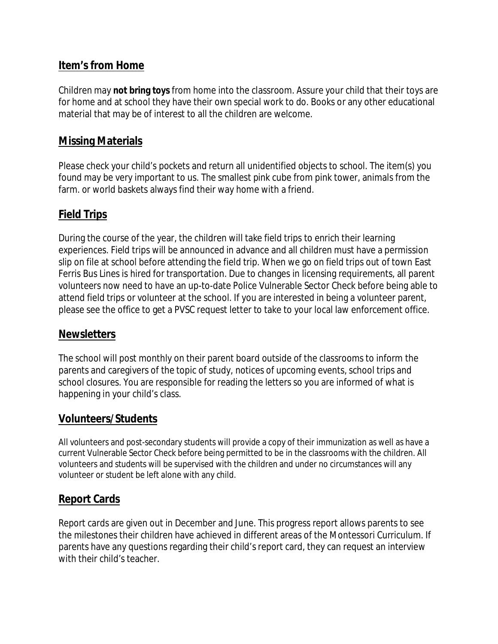## **Item's from Home**

Children may **not bring toys** from home into the classroom. Assure your child that their toys are for home and at school they have their own special work to do. Books or any other educational material that may be of interest to all the children are welcome.

## **Missing Materials**

Please check your child's pockets and return all unidentified objects to school. The item(s) you found may be very important to us. The smallest pink cube from pink tower, animals from the farm. or world baskets always find their way home with a friend.

### **Field Trips**

During the course of the year, the children will take field trips to enrich their learning experiences. Field trips will be announced in advance and all children must have a permission slip on file at school before attending the field trip. When we go on field trips out of town East Ferris Bus Lines is hired for transportation. Due to changes in licensing requirements, all parent volunteers now need to have an up-to-date Police Vulnerable Sector Check before being able to attend field trips or volunteer at the school. If you are interested in being a volunteer parent, please see the office to get a PVSC request letter to take to your local law enforcement office.

### **Newsletters**

The school will post monthly on their parent board outside of the classrooms to inform the parents and caregivers of the topic of study, notices of upcoming events, school trips and school closures. You are responsible for reading the letters so you are informed of what is happening in your child's class.

## **Volunteers/Students**

All volunteers and post-secondary students will provide a copy of their immunization as well as have a current Vulnerable Sector Check before being permitted to be in the classrooms with the children. All volunteers and students will be supervised with the children and under no circumstances will any volunteer or student be left alone with any child.

## **Report Cards**

Report cards are given out in December and June. This progress report allows parents to see the milestones their children have achieved in different areas of the Montessori Curriculum. If parents have any questions regarding their child's report card, they can request an interview with their child's teacher.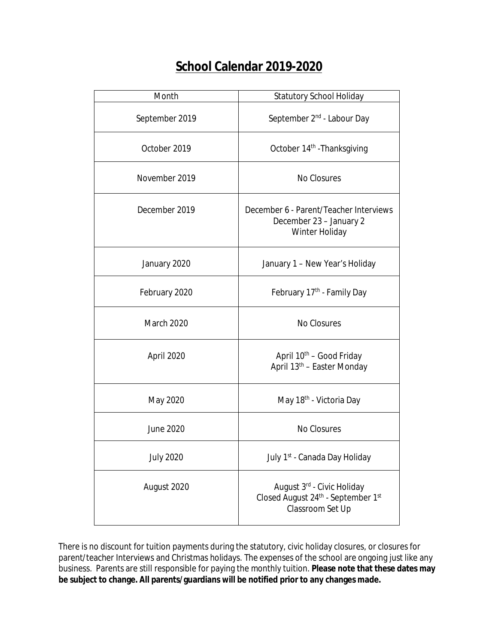# **School Calendar 2019-2020**

| Month            | <b>Statutory School Holiday</b>                                                      |
|------------------|--------------------------------------------------------------------------------------|
| September 2019   | September 2 <sup>nd</sup> - Labour Day                                               |
| October 2019     | October 14 <sup>th</sup> - Thanksgiving                                              |
| November 2019    | No Closures                                                                          |
| December 2019    | December 6 - Parent/Teacher Interviews<br>December 23 - January 2<br>Winter Holiday  |
| January 2020     | January 1 - New Year's Holiday                                                       |
| February 2020    | February 17 <sup>th</sup> - Family Day                                               |
| March 2020       | No Closures                                                                          |
| April 2020       | April 10 <sup>th</sup> - Good Friday<br>April 13 <sup>th</sup> - Easter Monday       |
| May 2020         | May 18 <sup>th</sup> - Victoria Day                                                  |
| June 2020        | No Closures                                                                          |
| <b>July 2020</b> | July 1st - Canada Day Holiday                                                        |
| August 2020      | August 3rd - Civic Holiday<br>Closed August 24th - September 1st<br>Classroom Set Up |

There is no discount for tuition payments during the statutory, civic holiday closures, or closures for parent/teacher Interviews and Christmas holidays. The expenses of the school are ongoing just like any business. Parents are still responsible for paying the monthly tuition. **Please note that these dates may be subject to change. All parents/guardians will be notified prior to any changes made.**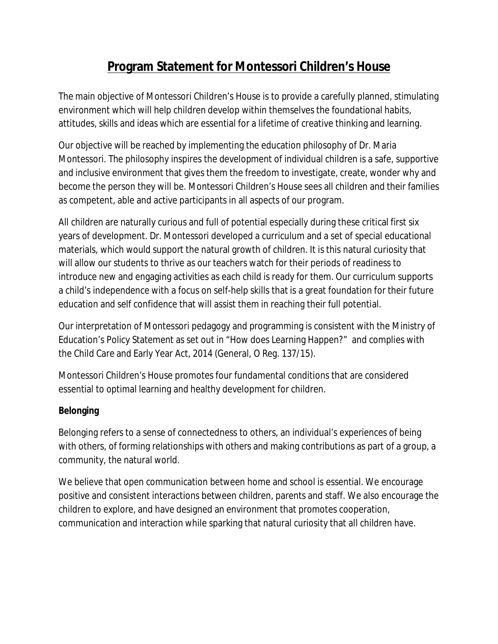# **Program Statement for Montessori Children's House**

The main objective of Montessori Children's House is to provide a carefully planned, stimulating environment which will help children develop within themselves the foundational habits, attitudes, skills and ideas which are essential for a lifetime of creative thinking and learning.

Our objective will be reached by implementing the education philosophy of Dr. Maria Montessori. The philosophy inspires the development of individual children is a safe, supportive and inclusive environment that gives them the freedom to investigate, create, wonder why and become the person they will be. Montessori Children's House sees all children and their families as competent, able and active participants in all aspects of our program.

All children are naturally curious and full of potential especially during these critical first six years of development. Dr. Montessori developed a curriculum and a set of special educational materials, which would support the natural growth of children. It is this natural curiosity that will allow our students to thrive as our teachers watch for their periods of readiness to introduce new and engaging activities as each child is ready for them. Our curriculum supports a child's independence with a focus on self-help skills that is a great foundation for their future education and self confidence that will assist them in reaching their full potential.

Our interpretation of Montessori pedagogy and programming is consistent with the Ministry of Education's Policy Statement as set out in "How does Learning Happen?" and complies with the Child Care and Early Year Act, 2014 (General, O Reg. 137/15).

Montessori Children's House promotes four fundamental conditions that are considered essential to optimal learning and healthy development for children.

## **Belonging**

Belonging refers to a sense of connectedness to others, an individual's experiences of being with others, of forming relationships with others and making contributions as part of a group, a community, the natural world.

We believe that open communication between home and school is essential. We encourage positive and consistent interactions between children, parents and staff. We also encourage the children to explore, and have designed an environment that promotes cooperation, communication and interaction while sparking that natural curiosity that all children have.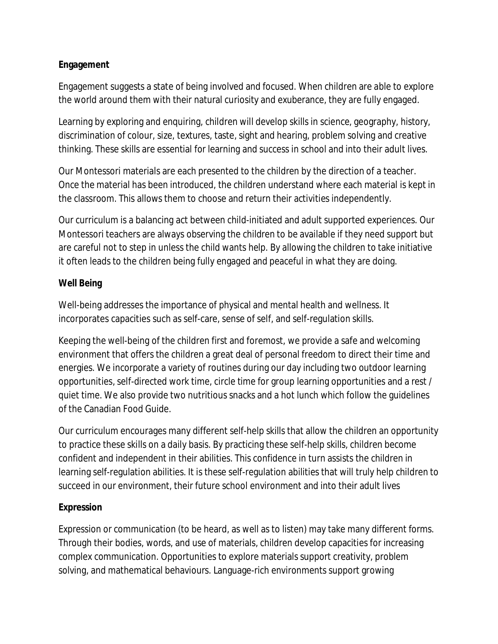### **Engagement**

Engagement suggests a state of being involved and focused. When children are able to explore the world around them with their natural curiosity and exuberance, they are fully engaged.

Learning by exploring and enquiring, children will develop skills in science, geography, history, discrimination of colour, size, textures, taste, sight and hearing, problem solving and creative thinking. These skills are essential for learning and success in school and into their adult lives.

Our Montessori materials are each presented to the children by the direction of a teacher. Once the material has been introduced, the children understand where each material is kept in the classroom. This allows them to choose and return their activities independently.

Our curriculum is a balancing act between child-initiated and adult supported experiences. Our Montessori teachers are always observing the children to be available if they need support but are careful not to step in unless the child wants help. By allowing the children to take initiative it often leads to the children being fully engaged and peaceful in what they are doing.

### **Well Being**

Well-being addresses the importance of physical and mental health and wellness. It incorporates capacities such as self-care, sense of self, and self-regulation skills.

Keeping the well-being of the children first and foremost, we provide a safe and welcoming environment that offers the children a great deal of personal freedom to direct their time and energies. We incorporate a variety of routines during our day including two outdoor learning opportunities, self-directed work time, circle time for group learning opportunities and a rest / quiet time. We also provide two nutritious snacks and a hot lunch which follow the guidelines of the Canadian Food Guide.

Our curriculum encourages many different self-help skills that allow the children an opportunity to practice these skills on a daily basis. By practicing these self-help skills, children become confident and independent in their abilities. This confidence in turn assists the children in learning self-regulation abilities. It is these self-regulation abilities that will truly help children to succeed in our environment, their future school environment and into their adult lives

## **Expression**

Expression or communication (to be heard, as well as to listen) may take many different forms. Through their bodies, words, and use of materials, children develop capacities for increasing complex communication. Opportunities to explore materials support creativity, problem solving, and mathematical behaviours. Language-rich environments support growing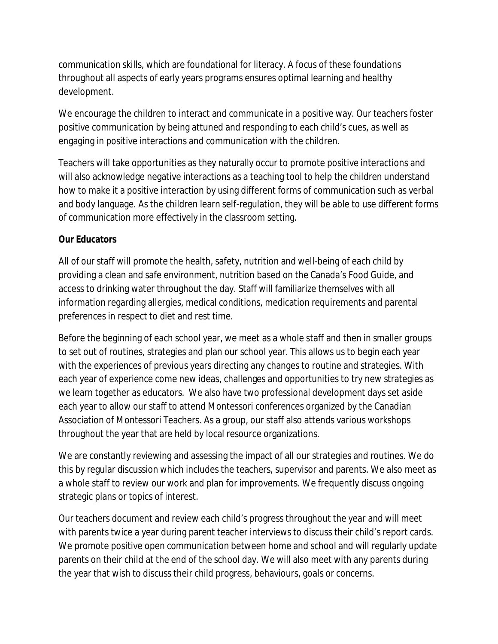communication skills, which are foundational for literacy. A focus of these foundations throughout all aspects of early years programs ensures optimal learning and healthy development.

We encourage the children to interact and communicate in a positive way. Our teachers foster positive communication by being attuned and responding to each child's cues, as well as engaging in positive interactions and communication with the children.

Teachers will take opportunities as they naturally occur to promote positive interactions and will also acknowledge negative interactions as a teaching tool to help the children understand how to make it a positive interaction by using different forms of communication such as verbal and body language. As the children learn self-regulation, they will be able to use different forms of communication more effectively in the classroom setting.

### **Our Educators**

All of our staff will promote the health, safety, nutrition and well-being of each child by providing a clean and safe environment, nutrition based on the Canada's Food Guide, and access to drinking water throughout the day. Staff will familiarize themselves with all information regarding allergies, medical conditions, medication requirements and parental preferences in respect to diet and rest time.

Before the beginning of each school year, we meet as a whole staff and then in smaller groups to set out of routines, strategies and plan our school year. This allows us to begin each year with the experiences of previous years directing any changes to routine and strategies. With each year of experience come new ideas, challenges and opportunities to try new strategies as we learn together as educators. We also have two professional development days set aside each year to allow our staff to attend Montessori conferences organized by the Canadian Association of Montessori Teachers. As a group, our staff also attends various workshops throughout the year that are held by local resource organizations.

We are constantly reviewing and assessing the impact of all our strategies and routines. We do this by regular discussion which includes the teachers, supervisor and parents. We also meet as a whole staff to review our work and plan for improvements. We frequently discuss ongoing strategic plans or topics of interest.

Our teachers document and review each child's progress throughout the year and will meet with parents twice a year during parent teacher interviews to discuss their child's report cards. We promote positive open communication between home and school and will regularly update parents on their child at the end of the school day. We will also meet with any parents during the year that wish to discuss their child progress, behaviours, goals or concerns.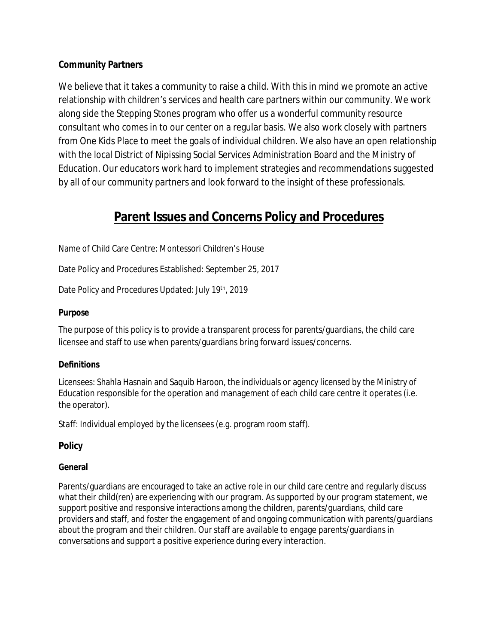### **Community Partners**

We believe that it takes a community to raise a child. With this in mind we promote an active relationship with children's services and health care partners within our community. We work along side the Stepping Stones program who offer us a wonderful community resource consultant who comes in to our center on a regular basis. We also work closely with partners from One Kids Place to meet the goals of individual children. We also have an open relationship with the local District of Nipissing Social Services Administration Board and the Ministry of Education. Our educators work hard to implement strategies and recommendations suggested by all of our community partners and look forward to the insight of these professionals.

# **Parent Issues and Concerns Policy and Procedures**

Name of Child Care Centre: Montessori Children's House

Date Policy and Procedures Established: September 25, 2017

Date Policy and Procedures Updated: July 19<sup>th</sup>, 2019

#### **Purpose**

The purpose of this policy is to provide a transparent process for parents/guardians, the child care licensee and staff to use when parents/guardians bring forward issues/concerns.

#### **Definitions**

*Licensees*: Shahla Hasnain and Saquib Haroon, the individuals or agency licensed by the Ministry of Education responsible for the operation and management of each child care centre it operates (i.e. the operator).

*Staff*: Individual employed by the licensees (e.g. program room staff).

**Policy**

#### **General**

Parents/guardians are encouraged to take an active role in our child care centre and regularly discuss what their child(ren) are experiencing with our program. As supported by our program statement, we support positive and responsive interactions among the children, parents/guardians, child care providers and staff, and foster the engagement of and ongoing communication with parents/guardians about the program and their children. Our staff are available to engage parents/guardians in conversations and support a positive experience during every interaction.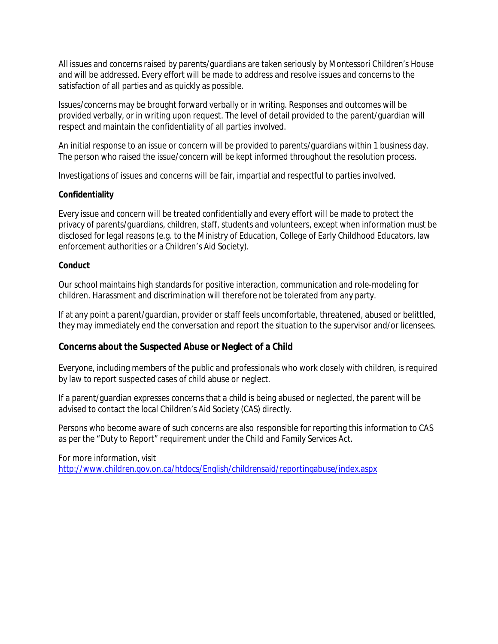All issues and concerns raised by parents/guardians are taken seriously by Montessori Children's House and will be addressed. Every effort will be made to address and resolve issues and concerns to the satisfaction of all parties and as quickly as possible.

Issues/concerns may be brought forward verbally or in writing. Responses and outcomes will be provided verbally, or in writing upon request. The level of detail provided to the parent/guardian will respect and maintain the confidentiality of all parties involved.

An initial response to an issue or concern will be provided to parents/guardians within 1 business day. The person who raised the issue/concern will be kept informed throughout the resolution process.

Investigations of issues and concerns will be fair, impartial and respectful to parties involved.

#### **Confidentiality**

Every issue and concern will be treated confidentially and every effort will be made to protect the privacy of parents/guardians, children, staff, students and volunteers, except when information must be disclosed for legal reasons (e.g. to the Ministry of Education, College of Early Childhood Educators, law enforcement authorities or a Children's Aid Society).

#### **Conduct**

Our school maintains high standards for positive interaction, communication and role-modeling for children. Harassment and discrimination will therefore not be tolerated from any party.

If at any point a parent/guardian, provider or staff feels uncomfortable, threatened, abused or belittled, they may immediately end the conversation and report the situation to the supervisor and/or licensees.

**Concerns about the Suspected Abuse or Neglect of a Child**

Everyone, including members of the public and professionals who work closely with children, is required by law to report suspected cases of child abuse or neglect.

If a parent/guardian expresses concerns that a child is being abused or neglected, the parent will be advised to contact the local Children's Aid Society (CAS) directly.

Persons who become aware of such concerns are also responsible for reporting this information to CAS as per the "Duty to Report" requirement under the *Child and Family Services Act*.

For more information, visit http://www.children.gov.on.ca/htdocs/English/childrensaid/reportingabuse/index.aspx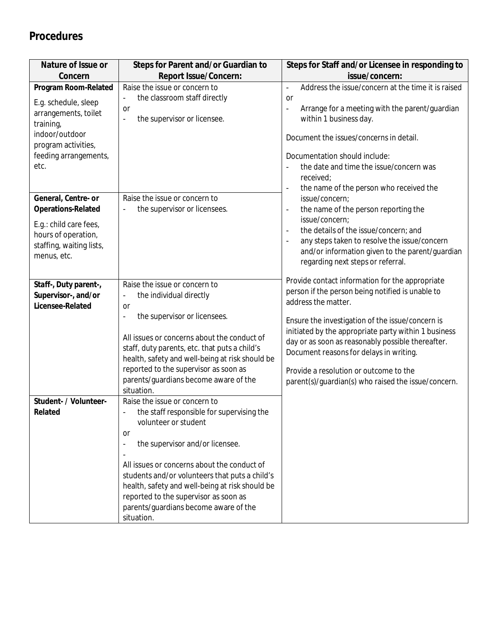# **Procedures**

| Nature of Issue or                                                                       | Steps for Parent and/or Guardian to                                                                                                                                                                                                                                                               | Steps for Staff and/or Licensee in responding to                                                                                                                                                                                                                                                          |
|------------------------------------------------------------------------------------------|---------------------------------------------------------------------------------------------------------------------------------------------------------------------------------------------------------------------------------------------------------------------------------------------------|-----------------------------------------------------------------------------------------------------------------------------------------------------------------------------------------------------------------------------------------------------------------------------------------------------------|
| Concern                                                                                  | Report Issue/Concern:                                                                                                                                                                                                                                                                             | issue/concern:                                                                                                                                                                                                                                                                                            |
| Program Room-Related                                                                     | Raise the issue or concern to<br>the classroom staff directly<br>$\blacksquare$                                                                                                                                                                                                                   | Address the issue/concern at the time it is raised<br>$\overline{\phantom{a}}$<br><b>or</b>                                                                                                                                                                                                               |
| E.g. schedule, sleep<br>arrangements, toilet<br>training,<br>indoor/outdoor              | or<br>the supervisor or licensee.<br>$\overline{a}$                                                                                                                                                                                                                                               | Arrange for a meeting with the parent/guardian<br>$\blacksquare$<br>within 1 business day.<br>Document the issues/concerns in detail.                                                                                                                                                                     |
| program activities,<br>feeding arrangements,<br>etc.                                     |                                                                                                                                                                                                                                                                                                   | Documentation should include:<br>the date and time the issue/concern was<br>received;<br>the name of the person who received the                                                                                                                                                                          |
| General, Centre- or<br>Operations-Related                                                | Raise the issue or concern to<br>the supervisor or licensees.                                                                                                                                                                                                                                     | issue/concern;<br>the name of the person reporting the<br>$\blacksquare$                                                                                                                                                                                                                                  |
| E.g.: child care fees,<br>hours of operation,<br>staffing, waiting lists,<br>menus, etc. |                                                                                                                                                                                                                                                                                                   | issue/concern;<br>the details of the issue/concern; and<br>$\blacksquare$<br>any steps taken to resolve the issue/concern<br>÷,<br>and/or information given to the parent/guardian<br>regarding next steps or referral.                                                                                   |
| Staff-, Duty parent-,<br>Supervisor-, and/or<br>Licensee-Related                         | Raise the issue or concern to<br>the individual directly<br>۰<br><sub>or</sub>                                                                                                                                                                                                                    | Provide contact information for the appropriate<br>person if the person being notified is unable to<br>address the matter.                                                                                                                                                                                |
|                                                                                          | the supervisor or licensees.<br>$\qquad \qquad \blacksquare$<br>All issues or concerns about the conduct of<br>staff, duty parents, etc. that puts a child's<br>health, safety and well-being at risk should be<br>reported to the supervisor as soon as<br>parents/guardians become aware of the | Ensure the investigation of the issue/concern is<br>initiated by the appropriate party within 1 business<br>day or as soon as reasonably possible thereafter.<br>Document reasons for delays in writing.<br>Provide a resolution or outcome to the<br>parent(s)/guardian(s) who raised the issue/concern. |
|                                                                                          | situation.                                                                                                                                                                                                                                                                                        |                                                                                                                                                                                                                                                                                                           |
| Student- / Volunteer-<br>Related                                                         | Raise the issue or concern to<br>the staff responsible for supervising the<br>volunteer or student<br>or<br>the supervisor and/or licensee.<br>$\qquad \qquad \blacksquare$<br>$\blacksquare$<br>All issues or concerns about the conduct of                                                      |                                                                                                                                                                                                                                                                                                           |
|                                                                                          | students and/or volunteers that puts a child's<br>health, safety and well-being at risk should be<br>reported to the supervisor as soon as<br>parents/guardians become aware of the<br>situation.                                                                                                 |                                                                                                                                                                                                                                                                                                           |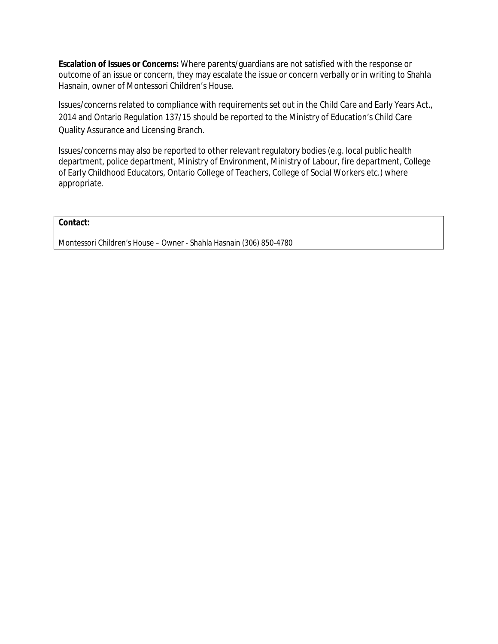**Escalation of Issues or Concerns:** Where parents/guardians are not satisfied with the response or outcome of an issue or concern, they may escalate the issue or concern verbally or in writing to Shahla Hasnain, owner of Montessori Children's House.

Issues/concerns related to compliance with requirements set out in the *Child Care and Early Years Act., 2014* and Ontario Regulation 137/15 should be reported to the Ministry of Education's Child Care Quality Assurance and Licensing Branch.

Issues/concerns may also be reported to other relevant regulatory bodies (e.g. local public health department, police department, Ministry of Environment, Ministry of Labour, fire department, College of Early Childhood Educators, Ontario College of Teachers, College of Social Workers etc.) where appropriate.

#### **Contact:**

Montessori Children's House – Owner - Shahla Hasnain (306) 850-4780